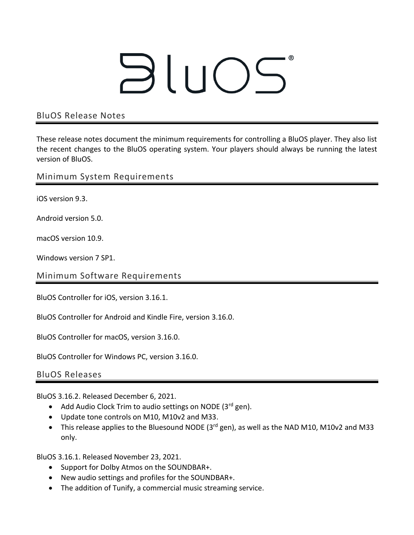## BluOS

## BluOS Release Notes

These release notes document the minimum requirements for controlling a BluOS player. They also list the recent changes to the BluOS operating system. Your players should always be running the latest version of BluOS.

Minimum System Requirements

iOS version 9.3.

Android version 5.0.

macOS version 10.9.

Windows version 7 SP1.

Minimum Software Requirements

BluOS Controller for iOS, version 3.16.1.

BluOS Controller for Android and Kindle Fire, version 3.16.0.

BluOS Controller for macOS, version 3.16.0.

BluOS Controller for Windows PC, version 3.16.0.

BluOS Releases

BluOS 3.16.2. Released December 6, 2021.

- Add Audio Clock Trim to audio settings on NODE  $(3<sup>rd</sup>$  gen).
- Update tone controls on M10, M10v2 and M33.
- This release applies to the Bluesound NODE (3<sup>rd</sup> gen), as well as the NAD M10, M10v2 and M33 only.

BluOS 3.16.1. Released November 23, 2021.

- Support for Dolby Atmos on the SOUNDBAR+.
- New audio settings and profiles for the SOUNDBAR+.
- The addition of Tunify, a commercial music streaming service.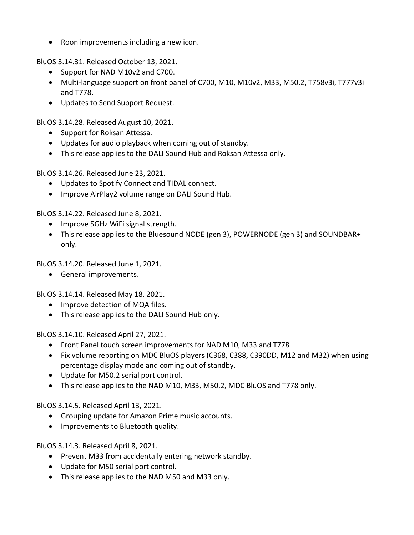• Roon improvements including a new icon.

BluOS 3.14.31. Released October 13, 2021.

- Support for NAD M10v2 and C700.
- Multi-language support on front panel of C700, M10, M10v2, M33, M50.2, T758v3i, T777v3i and T778.
- Updates to Send Support Request.

BluOS 3.14.28. Released August 10, 2021.

- Support for Roksan Attessa.
- Updates for audio playback when coming out of standby.
- This release applies to the DALI Sound Hub and Roksan Attessa only.

BluOS 3.14.26. Released June 23, 2021.

- Updates to Spotify Connect and TIDAL connect.
- Improve AirPlay2 volume range on DALI Sound Hub.

BluOS 3.14.22. Released June 8, 2021.

- Improve 5GHz WiFi signal strength.
- This release applies to the Bluesound NODE (gen 3), POWERNODE (gen 3) and SOUNDBAR+ only.

BluOS 3.14.20. Released June 1, 2021.

• General improvements.

BluOS 3.14.14. Released May 18, 2021.

- Improve detection of MQA files.
- This release applies to the DALI Sound Hub only.

BluOS 3.14.10. Released April 27, 2021.

- Front Panel touch screen improvements for NAD M10, M33 and T778
- Fix volume reporting on MDC BluOS players (C368, C388, C390DD, M12 and M32) when using percentage display mode and coming out of standby.
- Update for M50.2 serial port control.
- This release applies to the NAD M10, M33, M50.2, MDC BluOS and T778 only.

BluOS 3.14.5. Released April 13, 2021.

- Grouping update for Amazon Prime music accounts.
- Improvements to Bluetooth quality.

BluOS 3.14.3. Released April 8, 2021.

- Prevent M33 from accidentally entering network standby.
- Update for M50 serial port control.
- This release applies to the NAD M50 and M33 only.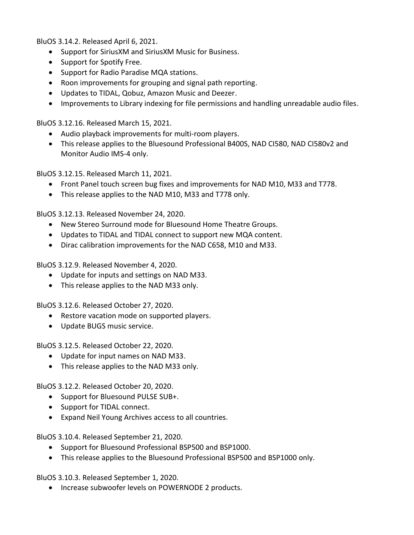BluOS 3.14.2. Released April 6, 2021.

- Support for SiriusXM and SiriusXM Music for Business.
- Support for Spotify Free.
- Support for Radio Paradise MQA stations.
- Roon improvements for grouping and signal path reporting.
- Updates to TIDAL, Qobuz, Amazon Music and Deezer.
- Improvements to Library indexing for file permissions and handling unreadable audio files.

BluOS 3.12.16. Released March 15, 2021.

- Audio playback improvements for multi-room players.
- This release applies to the Bluesound Professional B400S, NAD CI580, NAD CI580v2 and Monitor Audio IMS-4 only.

BluOS 3.12.15. Released March 11, 2021.

- Front Panel touch screen bug fixes and improvements for NAD M10, M33 and T778.
- This release applies to the NAD M10, M33 and T778 only.

BluOS 3.12.13. Released November 24, 2020.

- New Stereo Surround mode for Bluesound Home Theatre Groups.
- Updates to TIDAL and TIDAL connect to support new MQA content.
- Dirac calibration improvements for the NAD C658, M10 and M33.

BluOS 3.12.9. Released November 4, 2020.

- Update for inputs and settings on NAD M33.
- This release applies to the NAD M33 only.

BluOS 3.12.6. Released October 27, 2020.

- Restore vacation mode on supported players.
- Update BUGS music service.

BluOS 3.12.5. Released October 22, 2020.

- Update for input names on NAD M33.
- This release applies to the NAD M33 only.

BluOS 3.12.2. Released October 20, 2020.

- Support for Bluesound PULSE SUB+.
- Support for TIDAL connect.
- Expand Neil Young Archives access to all countries.

BluOS 3.10.4. Released September 21, 2020.

- Support for Bluesound Professional BSP500 and BSP1000.
- This release applies to the Bluesound Professional BSP500 and BSP1000 only.

BluOS 3.10.3. Released September 1, 2020.

• Increase subwoofer levels on POWERNODE 2 products.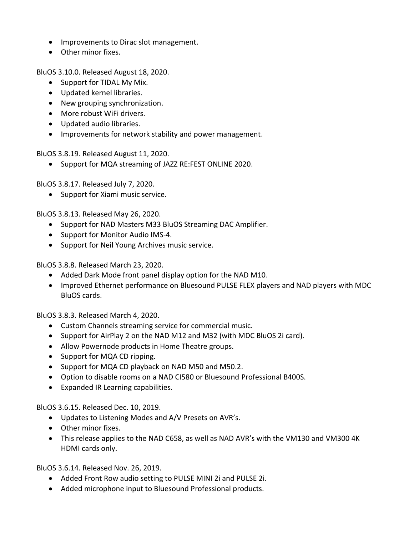- Improvements to Dirac slot management.
- Other minor fixes.

BluOS 3.10.0. Released August 18, 2020.

- Support for TIDAL My Mix.
- Updated kernel libraries.
- New grouping synchronization.
- More robust WiFi drivers.
- Updated audio libraries.
- Improvements for network stability and power management.

BluOS 3.8.19. Released August 11, 2020.

• Support for MQA streaming of JAZZ RE:FEST ONLINE 2020.

BluOS 3.8.17. Released July 7, 2020.

• Support for Xiami music service.

BluOS 3.8.13. Released May 26, 2020.

- Support for NAD Masters M33 BluOS Streaming DAC Amplifier.
- Support for Monitor Audio IMS-4.
- Support for Neil Young Archives music service.

BluOS 3.8.8. Released March 23, 2020.

- Added Dark Mode front panel display option for the NAD M10.
- Improved Ethernet performance on Bluesound PULSE FLEX players and NAD players with MDC BluOS cards.

BluOS 3.8.3. Released March 4, 2020.

- Custom Channels streaming service for commercial music.
- Support for AirPlay 2 on the NAD M12 and M32 (with MDC BluOS 2i card).
- Allow Powernode products in Home Theatre groups.
- Support for MQA CD ripping.
- Support for MQA CD playback on NAD M50 and M50.2.
- Option to disable rooms on a NAD CI580 or Bluesound Professional B400S.
- Expanded IR Learning capabilities.

BluOS 3.6.15. Released Dec. 10, 2019.

- Updates to Listening Modes and A/V Presets on AVR's.
- Other minor fixes.
- This release applies to the NAD C658, as well as NAD AVR's with the VM130 and VM300 4K HDMI cards only.

BluOS 3.6.14. Released Nov. 26, 2019.

- Added Front Row audio setting to PULSE MINI 2i and PULSE 2i.
- Added microphone input to Bluesound Professional products.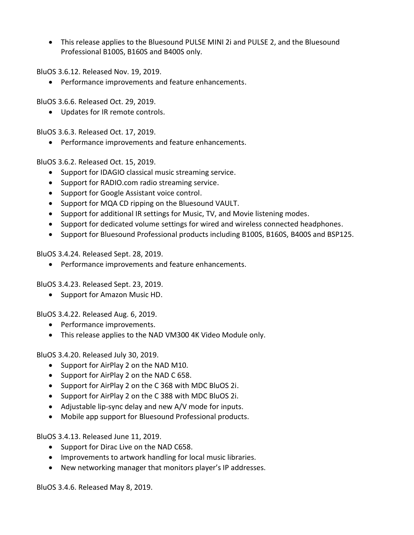• This release applies to the Bluesound PULSE MINI 2i and PULSE 2, and the Bluesound Professional B100S, B160S and B400S only.

BluOS 3.6.12. Released Nov. 19, 2019.

• Performance improvements and feature enhancements.

BluOS 3.6.6. Released Oct. 29, 2019.

• Updates for IR remote controls.

BluOS 3.6.3. Released Oct. 17, 2019.

• Performance improvements and feature enhancements.

BluOS 3.6.2. Released Oct. 15, 2019.

- Support for IDAGIO classical music streaming service.
- Support for RADIO.com radio streaming service.
- Support for Google Assistant voice control.
- Support for MQA CD ripping on the Bluesound VAULT.
- Support for additional IR settings for Music, TV, and Movie listening modes.
- Support for dedicated volume settings for wired and wireless connected headphones.
- Support for Bluesound Professional products including B100S, B160S, B400S and BSP125.

BluOS 3.4.24. Released Sept. 28, 2019.

• Performance improvements and feature enhancements.

BluOS 3.4.23. Released Sept. 23, 2019.

• Support for Amazon Music HD.

BluOS 3.4.22. Released Aug. 6, 2019.

- Performance improvements.
- This release applies to the NAD VM300 4K Video Module only.

BluOS 3.4.20. Released July 30, 2019.

- Support for AirPlay 2 on the NAD M10.
- Support for AirPlay 2 on the NAD C 658.
- Support for AirPlay 2 on the C 368 with MDC BluOS 2i.
- Support for AirPlay 2 on the C 388 with MDC BluOS 2i.
- Adjustable lip-sync delay and new A/V mode for inputs.
- Mobile app support for Bluesound Professional products.

BluOS 3.4.13. Released June 11, 2019.

- Support for Dirac Live on the NAD C658.
- Improvements to artwork handling for local music libraries.
- New networking manager that monitors player's IP addresses.

BluOS 3.4.6. Released May 8, 2019.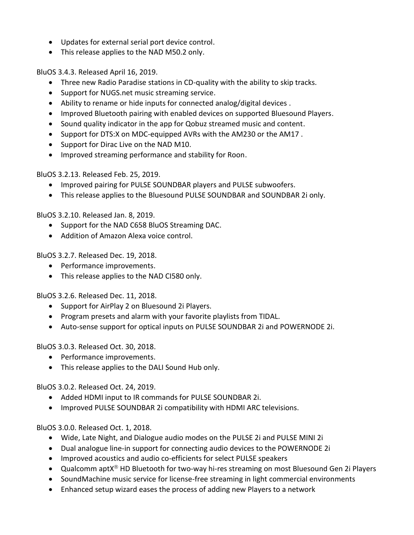- Updates for external serial port device control.
- This release applies to the NAD M50.2 only.

BluOS 3.4.3. Released April 16, 2019.

- Three new Radio Paradise stations in CD-quality with the ability to skip tracks.
- Support for NUGS.net music streaming service.
- Ability to rename or hide inputs for connected analog/digital devices .
- Improved Bluetooth pairing with enabled devices on supported Bluesound Players.
- Sound quality indicator in the app for Qobuz streamed music and content.
- Support for DTS:X on MDC-equipped AVRs with the AM230 or the AM17 .
- Support for Dirac Live on the NAD M10.
- Improved streaming performance and stability for Roon.

BluOS 3.2.13. Released Feb. 25, 2019.

- Improved pairing for PULSE SOUNDBAR players and PULSE subwoofers.
- This release applies to the Bluesound PULSE SOUNDBAR and SOUNDBAR 2i only.

BluOS 3.2.10. Released Jan. 8, 2019.

- Support for the NAD C658 BluOS Streaming DAC.
- Addition of Amazon Alexa voice control.

BluOS 3.2.7. Released Dec. 19, 2018.

- Performance improvements.
- This release applies to the NAD CI580 only.

BluOS 3.2.6. Released Dec. 11, 2018.

- Support for AirPlay 2 on Bluesound 2i Players.
- Program presets and alarm with your favorite playlists from TIDAL.
- Auto-sense support for optical inputs on PULSE SOUNDBAR 2i and POWERNODE 2i.

BluOS 3.0.3. Released Oct. 30, 2018.

- Performance improvements.
- This release applies to the DALI Sound Hub only.

BluOS 3.0.2. Released Oct. 24, 2019.

- Added HDMI input to IR commands for PULSE SOUNDBAR 2i.
- Improved PULSE SOUNDBAR 2i compatibility with HDMI ARC televisions.

BluOS 3.0.0. Released Oct. 1, 2018.

- Wide, Late Night, and Dialogue audio modes on the PULSE 2i and PULSE MINI 2i
- Dual analogue line-in support for connecting audio devices to the POWERNODE 2i
- Improved acoustics and audio co-efficients for select PULSE speakers
- Qualcomm aptX $^{\circledR}$  HD Bluetooth for two-way hi-res streaming on most Bluesound Gen 2i Players
- SoundMachine music service for license-free streaming in light commercial environments
- Enhanced setup wizard eases the process of adding new Players to a network